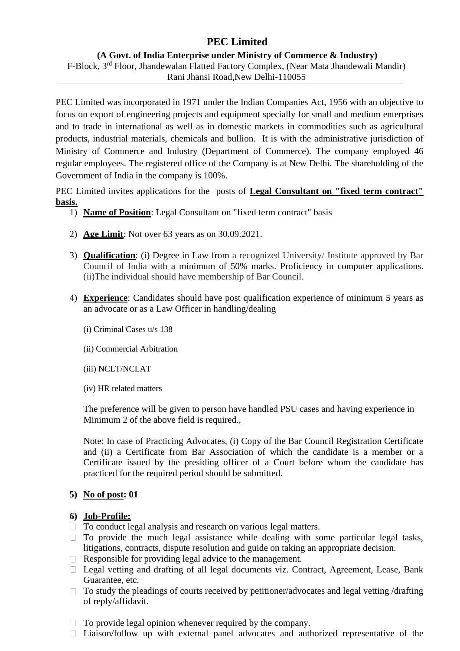## **PEC Limited**

### **(A Govt. of India Enterprise under Ministry of Commerce & Industry)** F-Block, 3rd Floor, Jhandewalan Flatted Factory Complex, (Near Mata Jhandewali Mandir) Rani Jhansi Road,New Delhi-110055

PEC Limited was incorporated in 1971 under the Indian Companies Act, 1956 with an objective to focus on export of engineering projects and equipment specially for small and medium enterprises and to trade in international as well as in domestic markets in commodities such as agricultural products, industrial materials, chemicals and bullion. It is with the administrative jurisdiction of Ministry of Commerce and Industry (Department of Commerce). The company employed 46 regular employees. The registered office of the Company is at New Delhi. The shareholding of the Government of India in the company is 100%.

PEC Limited invites applications for the posts of **Legal Consultant on "fixed term contract" basis.**

- 1) **Name of Position**: Legal Consultant on "fixed term contract" basis
- 2) **Age Limit**: Not over 63 years as on 30.09.2021.
- 3) **Qualification**: (i) Degree in Law from a recognized University/ Institute approved by Bar Council of India with a minimum of 50% marks. Proficiency in computer applications. (ii)The individual should have membership of Bar Council.
- 4) **Experience**: Candidates should have post qualification experience of minimum 5 years as an advocate or as a Law Officer in handling/dealing
	- (i) Criminal Cases u/s 138
	- (ii) Commercial Arbitration
	- (iii) NCLT/NCLAT
	- (iv) HR related matters

The preference will be given to person have handled PSU cases and having experience in Minimum 2 of the above field is required.,

Note: In case of Practicing Advocates, (i) Copy of the Bar Council Registration Certificate and (ii) a Certificate from Bar Association of which the candidate is a member or a Certificate issued by the presiding officer of a Court before whom the candidate has practiced for the required period should be submitted.

### **5) No of post: 01**

### **6) Job-Profile:**

- $\Box$  To conduct legal analysis and research on various legal matters.
- $\Box$  To provide the much legal assistance while dealing with some particular legal tasks, litigations, contracts, dispute resolution and guide on taking an appropriate decision.
- $\Box$  Responsible for providing legal advice to the management.
- $\Box$  Legal vetting and drafting of all legal documents viz. Contract, Agreement, Lease, Bank Guarantee, etc.
- $\Box$  To study the pleadings of courts received by petitioner/advocates and legal vetting /drafting of reply/affidavit.
- $\Box$  To provide legal opinion whenever required by the company.
- $\Box$  Liaison/follow up with external panel advocates and authorized representative of the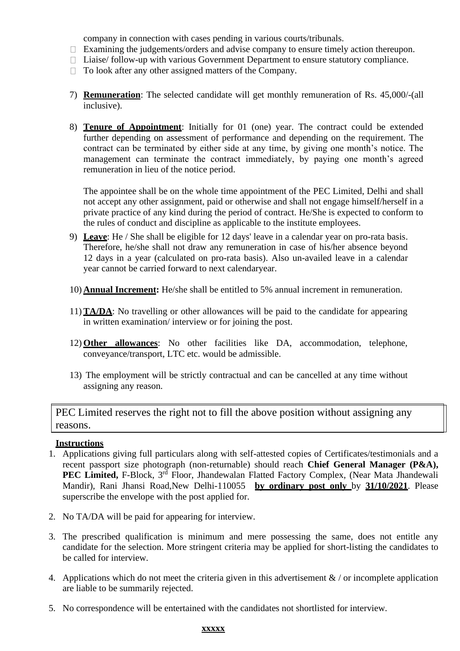company in connection with cases pending in various courts/tribunals.

- $\Box$  Examining the judgements/orders and advise company to ensure timely action thereupon.
- $\Box$  Liaise/ follow-up with various Government Department to ensure statutory compliance.
- $\Box$  To look after any other assigned matters of the Company.
- 7) **Remuneration**: The selected candidate will get monthly remuneration of Rs. 45,000/-(all inclusive).
- 8) **Tenure of Appointment**: Initially for 01 (one) year. The contract could be extended further depending on assessment of performance and depending on the requirement. The contract can be terminated by either side at any time, by giving one month's notice. The management can terminate the contract immediately, by paying one month's agreed remuneration in lieu of the notice period.

The appointee shall be on the whole time appointment of the PEC Limited, Delhi and shall not accept any other assignment, paid or otherwise and shall not engage himself/herself in a private practice of any kind during the period of contract. He/She is expected to conform to the rules of conduct and discipline as applicable to the institute employees.

- 9) **Leave**: He / She shall be eligible for 12 days' leave in a calendar year on pro-rata basis. Therefore, he/she shall not draw any remuneration in case of his/her absence beyond 12 days in a year (calculated on pro-rata basis). Also un-availed leave in a calendar year cannot be carried forward to next calendaryear.
- 10) **Annual Increment:** He/she shall be entitled to 5% annual increment in remuneration.
- 11)**TA/DA**: No travelling or other allowances will be paid to the candidate for appearing in written examination/ interview or for joining the post.
- 12) **Other allowances**: No other facilities like DA, accommodation, telephone, conveyance/transport, LTC etc. would be admissible.
- 13) The employment will be strictly contractual and can be cancelled at any time without assigning any reason.

PEC Limited reserves the right not to fill the above position without assigning any reasons.

### **Instructions**

- 1. Applications giving full particulars along with self-attested copies of Certificates/testimonials and a recent passport size photograph (non-returnable) should reach **Chief General Manager (P&A),**  PEC Limited, F-Block, 3<sup>rd</sup> Floor, Jhandewalan Flatted Factory Complex, (Near Mata Jhandewali Mandir), Rani Jhansi Road,New Delhi-110055 **by ordinary post only** by **31/10/2021**. Please superscribe the envelope with the post applied for.
- 2. No TA/DA will be paid for appearing for interview.
- 3. The prescribed qualification is minimum and mere possessing the same, does not entitle any candidate for the selection. More stringent criteria may be applied for short-listing the candidates to be called for interview.
- 4. Applications which do not meet the criteria given in this advertisement  $\&$  / or incomplete application are liable to be summarily rejected.
- 5. No correspondence will be entertained with the candidates not shortlisted for interview.

#### **xxxxx**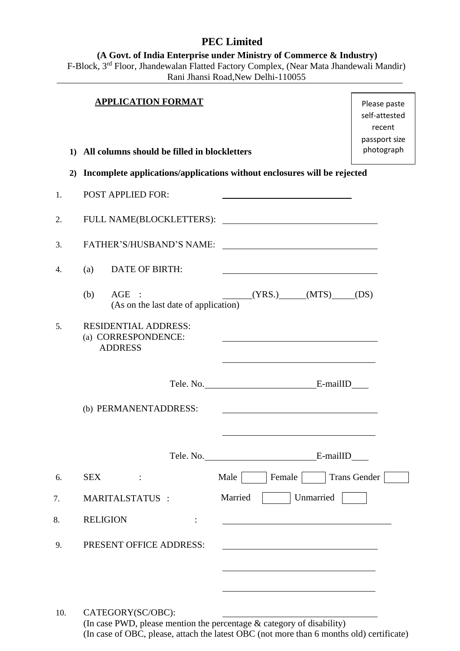# **PEC Limited**

**(A Govt. of India Enterprise under Ministry of Commerce & Industry)**

F-Block, 3<sup>rd</sup> Floor, Jhandewalan Flatted Factory Complex, (Near Mata Jhandewali Mandir) Rani Jhansi Road,New Delhi-110055

|     | 1) | <b>APPLICATION FORMAT</b><br>All columns should be filled in blockletters |                                                             | Please paste<br>self-attested<br>recent<br>passport size<br>photograph |
|-----|----|---------------------------------------------------------------------------|-------------------------------------------------------------|------------------------------------------------------------------------|
|     | 2) | Incomplete applications/applications without enclosures will be rejected  |                                                             |                                                                        |
| 1.  |    | <b>POST APPLIED FOR:</b>                                                  |                                                             |                                                                        |
| 2.  |    |                                                                           |                                                             |                                                                        |
| 3.  |    |                                                                           |                                                             |                                                                        |
| 4.  |    | <b>DATE OF BIRTH:</b><br>(a)                                              |                                                             |                                                                        |
|     |    | AGE :<br>(b)<br>(As on the last date of application)                      | $(YRS.)$ $(MTS)$ $(DS)$                                     |                                                                        |
| 5.  |    | <b>RESIDENTIAL ADDRESS:</b><br>(a) CORRESPONDENCE:<br><b>ADDRESS</b>      | <u> 1989 - Andrea Stadt Britain, amerikansk politiker (</u> |                                                                        |
|     |    |                                                                           |                                                             |                                                                        |
|     |    | (b) PERMANENTADDRESS:                                                     |                                                             |                                                                        |
|     |    |                                                                           | E-mailID                                                    |                                                                        |
| 6.  |    | <b>SEX</b><br>$\ddot{\phantom{a}}$                                        | Female<br>Male                                              | Trans Gender                                                           |
| 7.  |    | <b>MARITALSTATUS :</b>                                                    | Married<br>Unmarried                                        |                                                                        |
| 8.  |    | <b>RELIGION</b>                                                           |                                                             |                                                                        |
| 9.  |    | PRESENT OFFICE ADDRESS:                                                   |                                                             |                                                                        |
| 10. |    | CATEGORY(SC/OBC):                                                         |                                                             |                                                                        |

(In case PWD, please mention the percentage & category of disability) (In case of OBC, please, attach the latest OBC (not more than 6 months old) certificate)